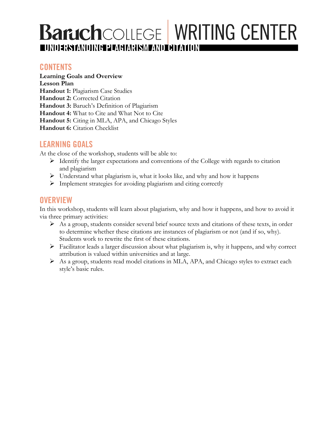# **Baruch**COLLEGE WRITING CENTER z **UNDERSTANDING PLAGIARISM AND CITATION**

### **CONTENTS**

**Learning Goals and Overview Lesson Plan Handout 1:** Plagiarism Case Studies **Handout 2:** Corrected Citation **Handout 3:** Baruch's Definition of Plagiarism **Handout 4:** What to Cite and What Not to Cite **Handout 5:** Citing in MLA, APA, and Chicago Styles **Handout 6:** Citation Checklist

### **LEARNING GOALS**

At the close of the workshop, students will be able to:

- $\triangleright$  Identify the larger expectations and conventions of the College with regards to citation and plagiarism
- $\triangleright$  Understand what plagiarism is, what it looks like, and why and how it happens
- $\triangleright$  Implement strategies for avoiding plagiarism and citing correctly

### **OVERVIEW**

In this workshop, students will learn about plagiarism, why and how it happens, and how to avoid it via three primary activities:

- $\triangleright$  As a group, students consider several brief source texts and citations of these texts, in order to determine whether these citations are instances of plagiarism or not (and if so, why). Students work to rewrite the first of these citations.
- $\triangleright$  Facilitator leads a larger discussion about what plagiarism is, why it happens, and why correct attribution is valued within universities and at large.
- Ø As a group, students read model citations in MLA, APA, and Chicago styles to extract each style's basic rules.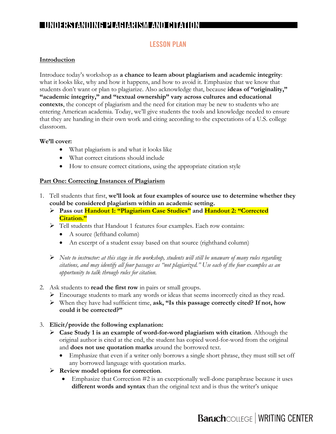### **LESSON PLAN**

### **Introduction**

Introduce today's workshop as **a chance to learn about plagiarism and academic integrity**: what it looks like, why and how it happens, and how to avoid it. Emphasize that we know that students don't want or plan to plagiarize. Also acknowledge that, because **ideas of "originality," "academic integrity," and "textual ownership" vary across cultures and educational contexts**, the concept of plagiarism and the need for citation may be new to students who are entering American academia. Today, we'll give students the tools and knowledge needed to ensure that they are handing in their own work and citing according to the expectations of a U.S. college classroom.

### **We'll cover:**

- What plagiarism is and what it looks like
- What correct citations should include
- How to ensure correct citations, using the appropriate citation style

### **Part One: Correcting Instances of Plagiarism**

- 1. Tell students that first, **we'll look at four examples of source use to determine whether they could be considered plagiarism within an academic setting.** 
	- Ø **Pass out Handout 1: "Plagiarism Case Studies" and Handout 2: "Corrected Citation."**
	- Ø Tell students that Handout 1 features four examples. Each row contains:
		- A source (lefthand column)
		- An excerpt of a student essay based on that source (righthand column)
	- Ø *Note to instructor: at this stage in the workshop, students will still be unaware of many rules regarding citations, and may identify all four passages as "not plagiarized." Use each of the four examples as an opportunity to talk through rules for citation.*
- 2. Ask students to **read the first row** in pairs or small groups.
	- $\triangleright$  Encourage students to mark any words or ideas that seems incorrectly cited as they read.
	- Ø When they have had sufficient time, **ask, "Is this passage correctly cited? If not, how could it be corrected?"**
- 3. **Elicit/provide the following explanation:**
	- Ø **Case Study 1 is an example of word-for-word plagiarism with citation**. Although the original author is cited at the end, the student has copied word-for-word from the original and **does not use quotation marks** around the borrowed text.
		- Emphasize that even if a writer only borrows a single short phrase, they must still set off any borrowed language with quotation marks.
	- Ø **Review model options for correction**.
		- Emphasize that Correction  $#2$  is an exceptionally well-done paraphrase because it uses **different words and syntax** than the original text and is thus the writer's unique

# **Baruch**COLLEGE | WRITING CENTER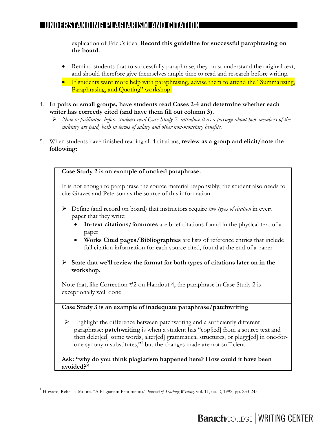explication of Frick's idea. **Record this guideline for successful paraphrasing on the board.**

- Remind students that to successfully paraphrase, they must understand the original text, and should therefore give themselves ample time to read and research before writing.
- If students want more help with paraphrasing, advise them to attend the "Summarizing, Paraphrasing, and Quoting" workshop.
- 4. **In pairs or small groups, have students read Cases 2-4 and determine whether each writer has correctly cited (and have them fill out column 3).**
	- Ø *Note to facilitator: before students read Case Study 2, introduce it as a passage about how members of the military are paid, both in terms of salary and other non-monetary benefits.*
- 5. When students have finished reading all 4 citations, **review as a group and elicit/note the following:**



 <sup>1</sup> Howard, Rebecca Moore. "A Plagiarism Pentimento." *Journal of Teaching Writing,* vol. 11, no. 2, 1992, pp. 233-245.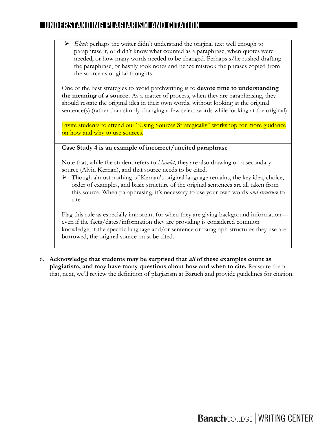Ø *Elicit*: perhaps the writer didn't understand the original text well enough to paraphrase it, or didn't know what counted as a paraphrase, when quotes were needed, or how many words needed to be changed. Perhaps s/he rushed drafting the paraphrase, or hastily took notes and hence mistook the phrases copied from the source as original thoughts.

One of the best strategies to avoid patchwriting is to **devote time to understanding the meaning of a source.** As a matter of process, when they are paraphrasing, they should restate the original idea in their own words, without looking at the original sentence(s) (rather than simply changing a few select words while looking at the original).

Invite students to attend our "Using Sources Strategically" workshop for more guidance on how and why to use sources.

### **Case Study 4 is an example of incorrect/uncited paraphrase**

Note that, while the student refers to *Hamlet*, they are also drawing on a secondary source (Alvin Kernan), and that source needs to be cited.

 $\triangleright$  Though almost nothing of Kernan's original language remains, the key idea, choice, order of examples, and basic structure of the original sentences are all taken from this source. When paraphrasing, it's necessary to use your own words *and structure* to cite.

Flag this rule as especially important for when they are giving background information even if the facts/dates/information they are providing is considered common knowledge, if the specific language and/or sentence or paragraph structures they use are borrowed, the original source must be cited.

6. **Acknowledge that students may be surprised that all of these examples count as plagiarism, and may have many questions about how and when to cite.** Reassure them that, next, we'll review the definition of plagiarism at Baruch and provide guidelines for citation.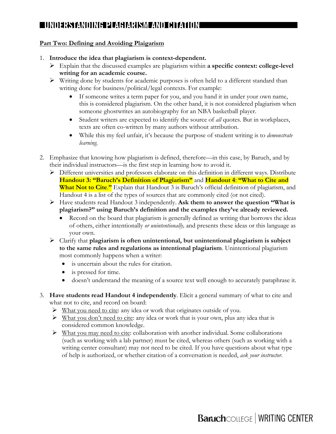### **Part Two: Defining and Avoiding Plaigarism**

- 1. **Introduce the idea that plagiarism is context-dependent.** 
	- Ø Explain that the discussed examples are plagiarism within **a specific context: college-level writing for an academic course.**
	- $\triangleright$  Writing done by students for academic purposes is often held to a different standard than writing done for business/political/legal contexts. For example:
		- If someone writes a term paper for you, and you hand it in under your own name, this is considered plagiarism. On the other hand, it is not considered plagiarism when someone ghostwrites an autobiography for an NBA basketball player.
		- Student writers are expected to identify the source of *all* quotes. But in workplaces, texts are often co-written by many authors without attribution.
		- While this my feel unfair, it's because the purpose of student writing is to *demonstrate learning.*
- 2. Emphasize that knowing how plagiarism is defined, therefore—in this case, by Baruch, and by their individual instructors—is the first step in learning how to avoid it.
	- $\triangleright$  Different universities and professors elaborate on this definition in different ways. Distribute **Handout 3: "Baruch's Definition of Plagiarism"** and **Handout 4**: **"What to Cite and What Not to Cite**.**"** Explain that Handout 3 is Baruch's official definition of plagiarism, and Handout 4 is a list of the types of sources that are commonly cited (or not cited).
	- Ø Have students read Handout 3 independently. **Ask them to answer the question "What is plagiarism?" using Baruch's definition and the examples they've already reviewed.**
		- Record on the board that plagiarism is generally defined as writing that borrows the ideas of others, either intentionally *or unintentionally,* and presents these ideas or this language as your own.
	- Ø Clarify that **plagiarism is often unintentional, but unintentional plagiarism is subject to the same rules and regulations as intentional plagiarism**. Unintentional plagiarism most commonly happens when a writer:
		- is uncertain about the rules for citation.
		- is pressed for time.
		- doesn't understand the meaning of a source text well enough to accurately paraphrase it.
- 3. **Have students read Handout 4 independently**. Elicit a general summary of what to cite and what not to cite, and record on board:
	- $\triangleright$  What you need to cite: any idea or work that originates outside of you.
	- $\triangleright$  What you don't need to cite: any idea or work that is your own, plus any idea that is considered common knowledge.
	- $\triangleright$  What you may need to cite: collaboration with another individual. Some collaborations (such as working with a lab partner) must be cited, whereas others (such as working with a writing center consultant) may not need to be cited. If you have questions about what type of help is authorized, or whether citation of a conversation is needed, *ask your instructor.*

# **Baruch**COLLEGE | WRITING CENTER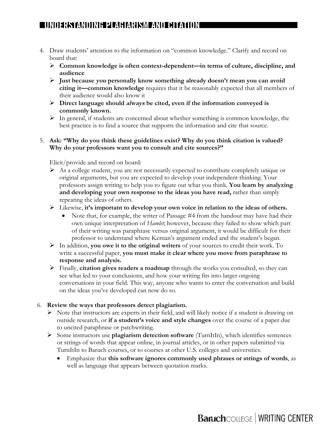- 4. Draw students' attention to the information on "common knowledge." Clarify and record on board that:
	- Ø **Common knowledge is often context-dependent—in terms of culture, discipline, and audience**
	- Ø **Just because you personally know something already doesn't mean you can avoid citing it—common knowledge** requires that it be reasonably expected that all members of their audience would also know it
	- Ø **Direct language should always be cited, even if the information conveyed is commonly known.**
	- $\triangleright$  In general, if students are concerned about whether something is common knowledge, the best practice is to find a source that supports the information and cite that source.

### 5. **Ask: "Why do you think these guidelines exist? Why do you think citation is valued? Why do your professors want you to consult and cite sources?"**

Elicit/provide and record on board:

- $\triangleright$  As a college student, you are not necessarily expected to contribute completely unique or original arguments, but you are expected to develop your independent thinking. Your professors assign writing to help you to figure out what you think. **You learn by analyzing and developing your own response to the ideas you have read,** rather than simply repeating the ideas of others.
- Ø Likewise, **it's important to develop your own voice in relation to the ideas of others.** 
	- Note that, for example, the writer of Passage #4 from the handout may have had their own unique interpretation of *Hamlet*; however, because they failed to show which part of their writing was paraphrase versus original argument, it would be difficult for their professor to understand where Kernan's argument ended and the student's began.
- Ø In addition, **you owe it to the original writers** of your sources to credit their work. To write a successful paper, **you must make it clear where you move from paraphrase to response and analysis.**
- Ø Finally, **citation gives readers a roadmap** through the works you consulted, so they can see what led to your conclusions, and how your writing fits into larger ongoing conversations in your field. This way, anyone who wants to enter the conversation and build on the ideas you've developed can now do so.

### 6. **Review the ways that professors detect plagiarism.**

- $\triangleright$  Note that instructors are experts in their field, and will likely notice if a student is drawing on outside research, or **if a student's voice and style changes** over the course of a paper due to uncited paraphrase or patchwriting.
- Ø Some instructors use **plagiarism detection software** (TurnItIn), which identifies sentences or strings of words that appear online, in journal articles, or in other papers submitted via TurnItIn to Baruch courses, or to courses at other U.S. colleges and universities.
	- Emphasize that **this software ignores commonly used phrases or strings of words**, as well as language that appears between quotation marks.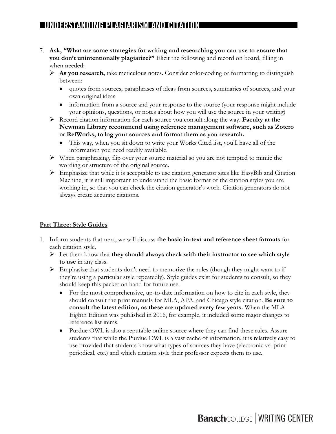- 7. **Ask, "What are some strategies for writing and researching you can use to ensure that you don't unintentionally plagiarize?"** Elicit the following and record on board, filling in when needed:
	- Ø **As you research,** take meticulous notes. Consider color-coding or formatting to distinguish between:
		- quotes from sources, paraphrases of ideas from sources, summaries of sources, and your own original ideas
		- information from a source and your response to the source (your response might include your opinions, questions, or notes about how you will use the source in your writing)
	- Ø Record citation information for each source you consult along the way. **Faculty at the Newman Library recommend using reference management software, such as Zotero or RefWorks, to log your sources and format them as you research.**
		- This way, when you sit down to write your Works Cited list, you'll have all of the information you need readily available.
	- $\triangleright$  When paraphrasing, flip over your source material so you are not tempted to mimic the wording or structure of the original source.
	- $\triangleright$  Emphasize that while it is acceptable to use citation generator sites like EasyBib and Citation Machine, it is still important to understand the basic format of the citation styles you are working in, so that you can check the citation generator's work. Citation generators do not always create accurate citations.

### **Part Three: Style Guides**

- 1. Inform students that next, we will discuss **the basic in-text and reference sheet formats** for each citation style.
	- Ø Let them know that **they should always check with their instructor to see which style to use** in any class.
	- $\triangleright$  Emphasize that students don't need to memorize the rules (though they might want to if they're using a particular style repeatedly). Style guides exist for students to consult, so they should keep this packet on hand for future use.
		- For the most comprehensive, up-to-date information on how to cite in each style, they should consult the print manuals for MLA, APA, and Chicago style citation. **Be sure to consult the latest edition, as these are updated every few years.** When the MLA Eighth Edition was published in 2016, for example, it included some major changes to reference list items.
		- Purdue OWL is also a reputable online source where they can find these rules. Assure students that while the Purdue OWL is a vast cache of information, it is relatively easy to use provided that students know what types of sources they have (electronic vs. print periodical, etc.) and which citation style their professor expects them to use.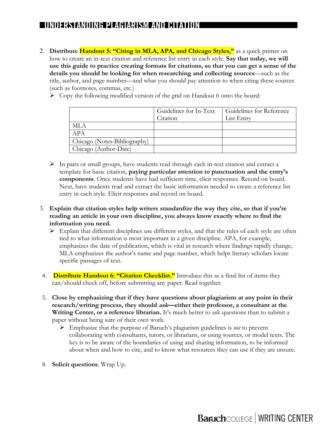- 2. **Distribute Handout 5: "Citing in MLA, APA, and Chicago Styles,"** as a quick primer on how to create an in-text citation and reference list entry in each style. **Say that today, we will use this guide to practice creating formats for citations, so that you can get a sense of the details you should be looking for when researching and collecting sources**—such as the title, author, and page number—and what you should pay attention to when citing these sources (such as footnotes, commas, etc.)
	- $\triangleright$  Copy the following modified version of the grid on Handout 6 onto the board:

|                              | Guidelines for In-Text | Guidelines for Reference |
|------------------------------|------------------------|--------------------------|
|                              | Citation               | List Entry               |
| ML A                         |                        |                          |
| APA                          |                        |                          |
| Chicago (Notes-Bibliography) |                        |                          |
| Chicago (Author-Date)        |                        |                          |

- $\triangleright$  In pairs or small groups, have students read through each in-text citation and extract a template for basic citation, **paying particular attention to punctuation and the entry's components**. Once students have had sufficient time, elicit responses. Record on board. Next, have students read and extract the basic information needed to create a reference list entry in each style. Elicit responses and record on board.
- 3. **Explain that citation styles help writers standardize the way they cite, so that if you're reading an article in your own discipline, you always know exactly where to find the information you need.** 
	- $\triangleright$  Explain that different disciplines use different styles, and that the rules of each style are often tied to what information is most important in a given discipline. APA, for example, emphasizes the date of publication, which is vital in research where findings rapidly change; MLA emphasizes the author's name and page number, which helps literary scholars locate specific passages of text.
- 4. **Distribute Handout 6: "Citation Checklist."** Introduce this as a final list of items they can/should check off, before submitting any paper. Read together.
- 5. **Close by emphasizing that if they have questions about plagiarism at any point in their research/writing process, they should ask—either their professor, a consultant at the Writing Center, or a reference librarian.** It's much better to ask questions than to submit a paper without being sure of their own work.
	- Ø Emphasize that the purpose of Baruch's plagiarism guidelines is *not* to prevent collaborating with consultants, tutors, or librarians, or using sources, or model texts. The key is to be aware of the boundaries of using and sharing information, to be informed about when and how to cite, and to know what resources they can use if they are unsure.
- 8. **Solicit questions**. Wrap Up.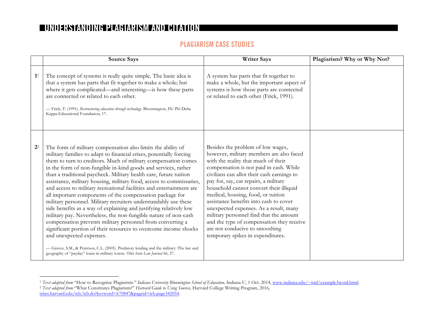### **PLAGIARISM CASE STUDIES**

|                | <b>Source Says</b>                                                                                                                                                                                                                                                                                                                                                                                                                                                                                                                                                                                                                                                                                                                                                                                                                                                                                                                                                                                                                                                                                               | <b>Writer Says</b>                                                                                                                                                                                                                                                                                                                                                                                                                                                                                                                                                                         | Plagiarism? Why or Why Not? |
|----------------|------------------------------------------------------------------------------------------------------------------------------------------------------------------------------------------------------------------------------------------------------------------------------------------------------------------------------------------------------------------------------------------------------------------------------------------------------------------------------------------------------------------------------------------------------------------------------------------------------------------------------------------------------------------------------------------------------------------------------------------------------------------------------------------------------------------------------------------------------------------------------------------------------------------------------------------------------------------------------------------------------------------------------------------------------------------------------------------------------------------|--------------------------------------------------------------------------------------------------------------------------------------------------------------------------------------------------------------------------------------------------------------------------------------------------------------------------------------------------------------------------------------------------------------------------------------------------------------------------------------------------------------------------------------------------------------------------------------------|-----------------------------|
| $\mathbf{1}^1$ | The concept of systems is really quite simple. The basic idea is<br>that a system has parts that fit together to make a whole; but<br>where it gets complicated—and interesting—is how these parts<br>are connected or related to each other.<br>- Frick, T. (1991). Restructuring education through technology. Bloomington, IN: Phi Delta<br>Kappa Educational Foundation, 17.                                                                                                                                                                                                                                                                                                                                                                                                                                                                                                                                                                                                                                                                                                                                 | A system has parts that fit together to<br>make a whole, but the important aspect of<br>systems is how those parts are connected<br>or related to each other (Frick, 1991).                                                                                                                                                                                                                                                                                                                                                                                                                |                             |
| 2 <sup>2</sup> | The form of military compensation also limits the ability of<br>military families to adapt to financial crises, potentially forcing<br>them to turn to creditors. Much of military compensation comes<br>in the form of non-fungible in-kind goods and services, rather<br>than a traditional paycheck. Military health care, future tuition<br>assistance, military housing, military food, access to commissaries,<br>and access to military recreational facilities and entertainment are<br>all important components of the compensation package for<br>military personnel. Military recruiters understandably use these<br>side benefits as a way of explaining and justifying relatively low<br>military pay. Nevertheless, the non-fungible nature of non-cash<br>compensation prevents military personnel from converting a<br>significant portion of their resources to overcome income shocks<br>and unexpected expenses.<br>- Graves, S.M., & Peterson, C.L. (2005). Predatory lending and the military: The law and<br>geography of "payday" loans in military towns. Ohio State Law Journal 66, 27. | Besides the problem of low wages,<br>however, military members are also faced<br>with the reality that much of their<br>compensation is not paid in cash. While<br>civilians can allot their cash earnings to<br>pay for, say, car repairs, a military<br>household cannot convert their illiquid<br>medical, housing, food, or tuition<br>assistance benefits into cash to cover<br>unexpected expenses. As a result, many<br>military personnel find that the amount<br>and the type of compensation they receive<br>are not conducive to smoothing<br>temporary spikes in expenditures. |                             |

 <sup>1</sup> *Text adapted from* "How to Recognize Plagiarism." *Indiana University Bloomington School of Education,* Indiana U, 1 Oct. 2014, www.indiana.edu/~istd/example3word.html. <sup>2</sup> *Text adapted from* "What Constitutes Plagiarism?" *Harvard Guide to Using Sources,* Harvard College Writing Program, 2016,

isites.harvard.edu/icb/icb.do?keyword=k70847&pageid=icb.page342054.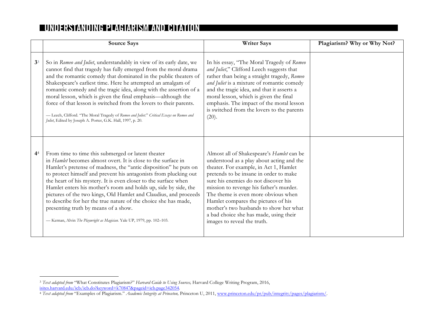|                | <b>Source Says</b>                                                                                                                                                                                                                                                                                                                                                                                                                                                                                                                                                                                                                                         | <b>Writer Says</b>                                                                                                                                                                                                                                                                                                                                                                                                                                             | Plagiarism? Why or Why Not? |
|----------------|------------------------------------------------------------------------------------------------------------------------------------------------------------------------------------------------------------------------------------------------------------------------------------------------------------------------------------------------------------------------------------------------------------------------------------------------------------------------------------------------------------------------------------------------------------------------------------------------------------------------------------------------------------|----------------------------------------------------------------------------------------------------------------------------------------------------------------------------------------------------------------------------------------------------------------------------------------------------------------------------------------------------------------------------------------------------------------------------------------------------------------|-----------------------------|
| 3 <sup>3</sup> | So in Romeo and Juliet, understandably in view of its early date, we<br>cannot find that tragedy has fully emerged from the moral drama<br>and the romantic comedy that dominated in the public theaters of<br>Shakespeare's earliest time. Here he attempted an amalgam of<br>romantic comedy and the tragic idea, along with the assertion of a<br>moral lesson, which is given the final emphasis—although the<br>force of that lesson is switched from the lovers to their parents.<br>-Leech, Clifford. "The Moral Tragedy of Romeo and Juliet." Critical Essays on Romeo and<br>Juliet, Edited by Joseph A. Porter, G.K. Hall, 1997, p. 20.          | In his essay, "The Moral Tragedy of Romeo<br>and Juliet," Clifford Leech suggests that<br>rather than being a straight tragedy, Romeo<br>and Juliet is a mixture of romantic comedy<br>and the tragic idea, and that it asserts a<br>moral lesson, which is given the final<br>emphasis. The impact of the moral lesson<br>is switched from the lovers to the parents<br>(20).                                                                                 |                             |
| 4 <sup>4</sup> | From time to time this submerged or latent theater<br>in Hamlet becomes almost overt. It is close to the surface in<br>Hamlet's pretense of madness, the "antic disposition" he puts on<br>to protect himself and prevent his antagonists from plucking out<br>the heart of his mystery. It is even closer to the surface when<br>Hamlet enters his mother's room and holds up, side by side, the<br>pictures of the two kings, Old Hamlet and Claudius, and proceeds<br>to describe for her the true nature of the choice she has made,<br>presenting truth by means of a show.<br>-Kernan, Alvin The Playwright as Magician. Yale UP, 1979, pp. 102-103. | Almost all of Shakespeare's Hamlet can be<br>understood as a play about acting and the<br>theater. For example, in Act 1, Hamlet<br>pretends to be insane in order to make<br>sure his enemies do not discover his<br>mission to revenge his father's murder.<br>The theme is even more obvious when<br>Hamlet compares the pictures of his<br>mother's two husbands to show her what<br>a bad choice she has made, using their<br>images to reveal the truth. |                             |

 <sup>3</sup> *Text adapted from* "What Constitutes Plagiarism?" *Harvard Guide to Using Sources,* Harvard College Writing Program, 2016, isites.harvard.edu/icb/icb.do?keyword=k70847&pageid=icb.page342054.

<sup>4</sup> *Text adapted from* "Examples of Plagiarism." *Academic Integrity at Princeton,* Princeton U, 2011, www.princeton.edu/pr/pub/integrity/pages/plagiarism/.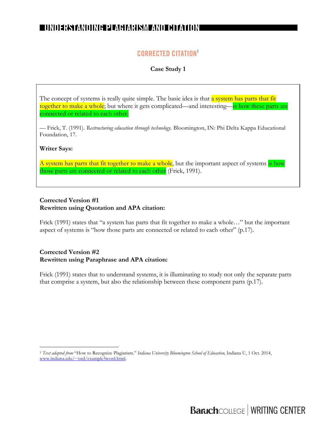### **CORRECTED CITATION1**

**Case Study 1**

The concept of systems is really quite simple. The basic idea is that a system has parts that fit together to make a whole; but where it gets complicated—and interesting—is how these parts are connected or related to each other.

— Frick, T. (1991). *Restructuring education through technology.* Bloomington, IN: Phi Delta Kappa Educational Foundation, 17.

#### **Writer Says:**

A system has parts that fit together to make a whole, but the important aspect of systems is how those parts are connected or related to each other (Frick, 1991).

#### **Corrected Version #1 Rewritten using Quotation and APA citation:**

Frick (1991) states that "a system has parts that fit together to make a whole…" but the important aspect of systems is "how those parts are connected or related to each other" (p.17).

### **Corrected Version #2 Rewritten using Paraphrase and APA citation:**

Frick (1991) states that to understand systems, it is illuminating to study not only the separate parts that comprise a system, but also the relationship between these component parts (p.17).

 <sup>1</sup> *Text adapted from* "How to Recognize Plagiarism." *Indiana University Bloomington School of Education,* Indiana U, 1 Oct. 2014, www.indiana.edu/~istd/example3word.html.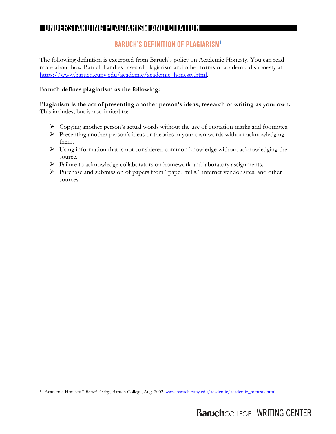### **BARUCH'S DEFINITION OF PLAGIARISM1**

The following definition is excerpted from Baruch's policy on Academic Honesty. You can read more about how Baruch handles cases of plagiarism and other forms of academic dishonesty at https://www.baruch.cuny.edu/academic/academic\_honesty.html.

### **Baruch defines plagiarism as the following:**

**Plagiarism is the act of presenting another person's ideas, research or writing as your own.**  This includes, but is not limited to:

- $\triangleright$  Copying another person's actual words without the use of quotation marks and footnotes.
- Ø Presenting another person's ideas or theories in your own words without acknowledging them.
- $\triangleright$  Using information that is not considered common knowledge without acknowledging the source.
- Ø Failure to acknowledge collaborators on homework and laboratory assignments.
- Ø Purchase and submission of papers from "paper mills," internet vendor sites, and other sources.

 <sup>1</sup> "Academic Honesty." *Baruch College,* Baruch College, Aug. 2002, www.baruch.cuny.edu/academic/academic\_honesty.html.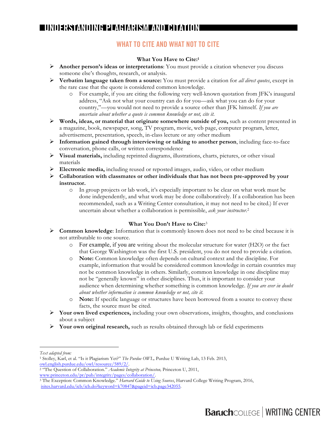### **WHAT TO CITE AND WHAT NOT TO CITE**

#### **What You Have to Cite:1**

- Ø **Another person's ideas or interpretations**: You must provide a citation whenever you discuss someone else's thoughts, research, or analysis.
- Ø **Verbatim language taken from a source:** You must provide a citation for *all direct quotes*, except in the rare case that the quote is considered common knowledge.
	- o For example, if you are citing the following very well-known quotation from JFK's inaugural address, "Ask not what your country can do for you—ask what you can do for your country,"—you would not need to provide a source other than JFK himself. *If you are uncertain about whether a quote is common knowledge or not, cite it.*
- Ø **Words, ideas, or material that originate somewhere outside of you,** such as content presented in a magazine, book, newspaper, song, TV program, movie, web page, computer program, letter, advertisement, presentation, speech, in-class lecture or any other medium
- Ø **Information gained through interviewing or talking to another person**, including face-to-face conversation, phone calls, or written correspondence
- Ø **Visual materials,** including reprinted diagrams, illustrations, charts, pictures, or other visual materials
- Ø **Electronic media,** including reused or reposted images, audio, video, or other medium
- Ø **Collaboration with classmates or other individuals that has not been pre-approved by your instructor.**
	- o In group projects or lab work, it's especially important to be clear on what work must be done independently, and what work may be done collaboratively. If a collaboration has been recommended, such as a Writing Center consultation, it may not need to be cited.) If ever uncertain about whether a collaboration is permissible, *ask your instructor*.2

#### **What You Don't Have to Cite:**<sup>3</sup>

- Ø **Common knowledge**: Information that is commonly known does not need to be cited because it is not attributable to one source.
	- o For example, if you are writing about the molecular structure for water (H2O) or the fact that George Washington was the first U.S. president, you do not need to provide a citation.
	- o **Note:** Common knowledge often depends on cultural context and the discipline. For example, information that would be considered common knowledge in certain countries may not be common knowledge in others. Similarly, common knowledge in one discipline may not be "generally known" in other disciplines. Thus, it is important to consider your audience when determining whether something is common knowledge. *If you are ever in doubt about whether information is common knowledge or not, cite it.*
	- o **Note:** If specific language or structures have been borrowed from a source to convey these facts, the source must be cited.
- Ø **Your own lived experiences,** including your own observations, insights, thoughts, and conclusions about a subject
- Ø **Your own original research,** such as results obtained through lab or field experiments

-

*Text adapted from:*

<sup>1</sup> Stolley, Karl, et al. "Is it Plagiarism Yet?" *The Purdue OWL,* Purdue U Writing Lab, 13 Feb. 2013, owl.english.purdue.edu/owl/resource/589/2/.

<sup>2</sup> "The Question of Collaboration." *Academic Integrity at Princeton,* Princeton U, 2011, www.princeton.edu/pr/pub/integrity/pages/collaboration/.

<sup>3</sup> The Exception: Common Knowledge." *Harvard Guide to Using Sources*, Harvard College Writing Program, 2016, isites.harvard.edu/icb/icb.do?keyword=k70847&pageid=icb.page342055.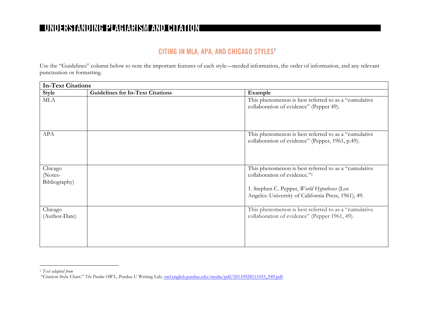### **CITING IN MLA, APA, AND CHICAGO STYLES1**

Use the "Guidelines" column below to note the important features of each style—needed information, the order of information, and any relevant punctuation or formatting.

| <b>In-Text Citations</b>            |                                         |                                                                                                                                                                                            |
|-------------------------------------|-----------------------------------------|--------------------------------------------------------------------------------------------------------------------------------------------------------------------------------------------|
| Style                               | <b>Guidelines for In-Text Citations</b> | Example                                                                                                                                                                                    |
| <b>MLA</b>                          |                                         | This phenomenon is best referred to as a "cumulative<br>collaboration of evidence" (Pepper 49).                                                                                            |
| <b>APA</b>                          |                                         | This phenomenon is best referred to as a "cumulative<br>collaboration of evidence" (Pepper, 1961, p.49).                                                                                   |
| Chicago<br>(Notes-<br>Bibliography) |                                         | This phenomenon is best referred to as a "cumulative<br>collaboration of evidence."1<br>1. Stephen C. Pepper, World Hypotheses (Los<br>Angeles: University of California Press, 1961), 49. |
| Chicago<br>(Author-Date)            |                                         | This phenomenon is best referred to as a "cumulative<br>collaboration of evidence" (Pepper 1961, 49).                                                                                      |

 <sup>1</sup> *Text adapted from*

<sup>&</sup>quot;Citation Style Chart." *The Purdue OWL,* Purdue U Writing Lab, owl.english.purdue.edu/media/pdf/20110928111055\_949.pdf.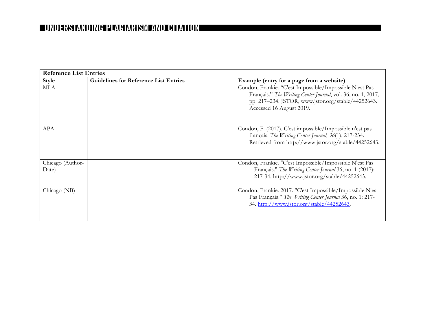| <b>Reference List Entries</b> |                                              |                                                                                                                                                                                                           |
|-------------------------------|----------------------------------------------|-----------------------------------------------------------------------------------------------------------------------------------------------------------------------------------------------------------|
| Style                         | <b>Guidelines for Reference List Entries</b> | Example (entry for a page from a website)                                                                                                                                                                 |
| <b>MLA</b>                    |                                              | Condon, Frankie. "C'est Impossible/Impossible N'est Pas<br>Français." The Writing Center Journal, vol. 36, no. 1, 2017,<br>pp. 217-234. JSTOR, www.jstor.org/stable/44252643.<br>Accessed 16 August 2019. |
| <b>APA</b>                    |                                              | Condon, F. (2017). C'est impossible/Impossible n'est pas<br>français. The Writing Center Journal, 36(1), 217-234.<br>Retrieved from http://www.jstor.org/stable/44252643.                                 |
| Chicago (Author-<br>Date)     |                                              | Condon, Frankie. "C'est Impossible/Impossible N'est Pas<br>Français." The Writing Center Journal 36, no. 1 (2017):<br>217-34. http://www.jstor.org/stable/44252643.                                       |
| Chicago (NB)                  |                                              | Condon, Frankie. 2017. "C'est Impossible/Impossible N'est<br>Pas Français." The Writing Center Journal 36, no. 1: 217-<br>34. http://www.jstor.org/stable/44252643.                                       |